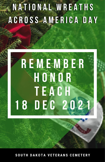# **NATIONAL WREATHS** ACROSS-AMERICA DAY

# **REMEMBER** HONOR TEACH 18 DEC 2021

SOUTH DAKOTA VETERANS CEMETERY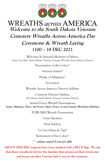

### **WREATHS** across AMERICA **Welcome to the South Dakota Veterans Cemetery Wreaths Across America Day Ceremony & Wreath Laying 1100 – 18 DEC 2021**

Welcome & National Moment of Silence *Aaron Van Beek, South Dakota Veterans Cemetery Wreaths Across America Director*

Presentation of the Colors\*

*National Anthem*\*

Pledge of Allegiance\*

Invocation

Wreaths Across America Director Address

Cemetery Director Address *Erin Brown, South Dakota Veterans Cemetery Director*

Armed Forces Wreath Presentations **Army, Marines, Navy, Air Force, Space Force, Coast Guard, Merchant Marines**

POW/MIA Wreath Presentation

Guest Speakers

Final Address

21 Gun Salute & *Taps*\*

Retirement of the Colors\*

**\* = please stand if you are able**

**GRAVE SPECIFIC requests have been marked with a BLUE flag. We ask that these wreaths be left for the families that sponsored their loved ones and honor another Veteran laid to rest in the cemetery.**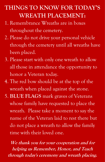### **THINGS TO KNOW FOR TODAY'S WREATH PLACEMENT:**

- 1. Remembrance Wreaths are in boxes throughout the cemetery.
- 2. Please do not drive your personal vehicle through the cemetery until all wreaths have been placed.
- 3. Please start with only one wreath to allow all those in attendance the opportunity to honor a Veteran today.
- 4. The red bow should be at the top of the wreath when placed against the stone.
- 5. **BLUE FLAGS** mark graves of Veterans whose family have requested to place the wreath. Please take a moment to say the name of the Veteran laid to rest there but do not place a wreath to allow the family time with their loved one.

**We thank you for your cooperation and for helping us Remember, Honor, and Teach through today's ceremony and wreath placing.**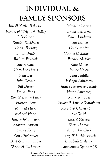## **INDIVIDUAL & FAMILY SPONSORS**

*Jim & Kathy Bahnson Family of Wright A Bailey P Beckman Randy Blackburn Carrie Bornitz Linda Brady Rodney Brudvik Sheryl Curl Cara Lee Davis Trent Day Julie Decker Bill Dreyer Dallas Faas Ron & Elaine Frary Frances Getz Mildred Hicks Richard Hohn Janelle Johannesen Sharron Johnson Deane Kelly Kim Kinderman Bart & Linda Laber Shane & Jill Lamer*

*Michelle Larsen Linda LeBorgne Karen Lindgren Jean Luther Cindy Maffei Connie McLaughlin Patrick McVay Kate Miller Janice Nolen Tara Padilla Josheph Palmiotto Janice Pierson & Family Nettie Sawatzky Mary Schrader Stuart & Janelle Schubloom Robert & Charity Small Sue Smith Laurel Stringer Sheri Thomas Aaron VanBeek Terry & Vickie Vellek Elizabeth Zielenski Anonymous Sponsor (5)*

**We apologize if we inadvertently missed a sponsor. Sponsors were current as of November 27, 2021**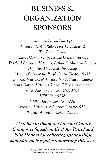## **BUSINESS & ORGANIZATION SPONSORS**

*American Legion Post 174 American Legion Riders Post 15 Chapter 2 The Barrel House Dakota Marine Corps League Detachment 659 Disabled American Veterans, Arthur H Muchow Chapter Dog Days Hotel and Day Camp Military Order of the Purple Heart Chapter 5355 Paralyzed Veterans of America North Central Chapter South Dakota Veterans Service Officers Association VFW Auxiliary Lincoln Unit 3164 VFW Post 6436 VFW Three Rivers Post 4726 Vietnam Veterans of America Chapter 959 Wagner American Legion Post 11*

**We'd like to thank the Lincoln County Composite Squadron Civil Air Patrol and Elise Honors for collecting sponsorships alongside their regular fundraising this year.**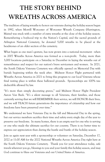### **THE STORY BEHIND WREATHS ACROSS AMERICA**

The tradition of laying wreaths to honor our veterans during the holiday season began in 1992, when Morrill Worcester of Worcester Wreath Company (Harrington, Maine) was stuck with a number of extra wreaths at the close of the holiday season. Remembering a boyhood trip to the Nation's Capital, and the sacred grounds of Arlington National Cemetery, he donated 5,000 wreaths to be placed at the headstones of an older section of the cemetery.

What began as one man's gesture, has now grown into a national movement - when in 2007 Wreaths Across America was formed as a non-profit. Today, more than 3,000 locations participate on a Saturday in December in laying the wreaths out of remembrance and respect for our nation's brave servicemen and women. In 2021, the South Dakota Veterans Cemetery was officially opened on Memorial Day with burials beginning within the week after. Midwest Honor Flight partnered with Wreaths Across America in 2021 to bring this program to our local Veterans whose final resting place is within these hallowed grounds. Sponsorships are 100% taxdeductible allowed by law.

"It's more than simply decorating graves," said Midwest Honor Flight President Aaron Van Beek. "It's a silent message to all Veterans, their families, and those currently serving that we will REMEMBER their service, we will HONOR their lives, and we will TEACH future generations the importance of citizenship and how our freedoms have been preserved over time."

We understand we have Veterans Day in the fall and Memorial Day in the spring, but our service members sacrifice their time and safety every single day of the year to preserve our freedoms. In many homes, there is an empty seat for one who is serving or one who made the ultimate sacrifice for our country. There is no better time to express our appreciation than during the hustle and bustle of the holiday season.

Join us again next year with a sponsorship or volunteer on Saturday, December 17, 2022 at 11:00 AM for the 2022 National Wreaths Across America Day right here at the South Dakota Veterans Cemetery. Thank you for your attendance today, safe travels wherever you go, blessings to you and your family this holiday season, and may God continue to bless our Veterans and our United States of America.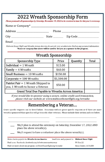#### 2022 Wreath Sponsorship Form

Please postmark all sponsorships by Saturday, November 19, 2022 to be received in time for this year's ceremony.

| Name or Company* |  |
|------------------|--|
|------------------|--|

Email

Midwest Honor Flight and Wreaths Across America do not sell, rent, or otherwise disclose any personal information. \*Name or company line above will be used to list you as a sponsor in the program.

#### **Wreath Sponsorship**

| Sponsorship Type                                                         | Price      | Quantity | Total |
|--------------------------------------------------------------------------|------------|----------|-------|
| Individual $= 1$ Wreath                                                  | \$15.00    |          |       |
| Family $=$ 4 Wreaths                                                     | \$60.00    |          |       |
| Small Business = $10$ Wreaths                                            | \$150.00   |          |       |
| Corporate $= 100$ Wreaths                                                | \$1,500.00 |          |       |
| Patriot Pair = $1$ Wreath Shipped to<br>you, 1 Wreath to honor a Veteran | \$50.00    |          |       |
| Grand Total Due Payable to Wreaths Across America:                       |            |          |       |

If you would like to sponsor using a secure, online credit card transaction, please visit our website at: www.midwesthonorflight.org/wreaths

#### Remembering a Veteran...

Grave specific requests can be listed below. Donations without grave specific requests or if there are more wreaths sponsored than specifics will go towards other veterans. Please include their section and row below.

We/I plan to attend the ceremony on Saturday, December 17, 2022 AND place the above wreath(s).

We/I request to have a volunteer place the above wreath(s).

| Make checks payable to: Wreaths Across America                         | Send form and payment to: Midwest Honor Flight |                        |
|------------------------------------------------------------------------|------------------------------------------------|------------------------|
| Find us on Facebook: facebook.com/sdveteranscemeterywaa                |                                                | PO Box 22              |
| Find out more about our program: <i>midwesthonorflight.org/wreaths</i> |                                                | Sioux Center, IA 51250 |